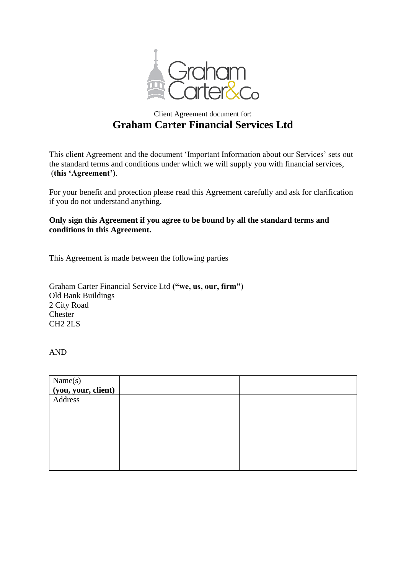

# Client Agreement document for: **Graham Carter Financial Services Ltd**

This client Agreement and the document 'Important Information about our Services' sets out the standard terms and conditions under which we will supply you with financial services, (**this 'Agreement'**).

For your benefit and protection please read this Agreement carefully and ask for clarification if you do not understand anything.

## **Only sign this Agreement if you agree to be bound by all the standard terms and conditions in this Agreement.**

This Agreement is made between the following parties

Graham Carter Financial Service Ltd **("we, us, our, firm"**) Old Bank Buildings 2 City Road Chester CH2 2LS

AND

| Name(s)<br>(you, your, client) |  |
|--------------------------------|--|
|                                |  |
| Address                        |  |
|                                |  |
|                                |  |
|                                |  |
|                                |  |
|                                |  |
|                                |  |
|                                |  |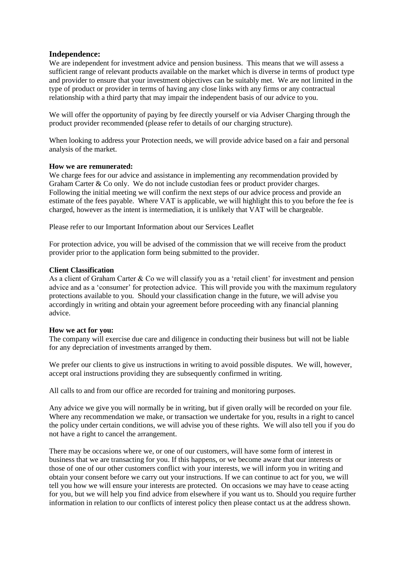## **Independence:**

We are independent for investment advice and pension business. This means that we will assess a sufficient range of relevant products available on the market which is diverse in terms of product type and provider to ensure that your investment objectives can be suitably met. We are not limited in the type of product or provider in terms of having any close links with any firms or any contractual relationship with a third party that may impair the independent basis of our advice to you.

We will offer the opportunity of paying by fee directly yourself or via Adviser Charging through the product provider recommended (please refer to details of our charging structure).

When looking to address your Protection needs, we will provide advice based on a fair and personal analysis of the market.

## **How we are remunerated:**

We charge fees for our advice and assistance in implementing any recommendation provided by Graham Carter & Co only. We do not include custodian fees or product provider charges. Following the initial meeting we will confirm the next steps of our advice process and provide an estimate of the fees payable. Where VAT is applicable, we will highlight this to you before the fee is charged, however as the intent is intermediation, it is unlikely that VAT will be chargeable.

Please refer to our Important Information about our Services Leaflet

For protection advice, you will be advised of the commission that we will receive from the product provider prior to the application form being submitted to the provider.

## **Client Classification**

As a client of Graham Carter & Co we will classify you as a 'retail client' for investment and pension advice and as a 'consumer' for protection advice. This will provide you with the maximum regulatory protections available to you. Should your classification change in the future, we will advise you accordingly in writing and obtain your agreement before proceeding with any financial planning advice.

## **How we act for you:**

The company will exercise due care and diligence in conducting their business but will not be liable for any depreciation of investments arranged by them.

We prefer our clients to give us instructions in writing to avoid possible disputes. We will, however, accept oral instructions providing they are subsequently confirmed in writing.

All calls to and from our office are recorded for training and monitoring purposes.

Any advice we give you will normally be in writing, but if given orally will be recorded on your file. Where any recommendation we make, or transaction we undertake for you, results in a right to cancel the policy under certain conditions, we will advise you of these rights. We will also tell you if you do not have a right to cancel the arrangement.

There may be occasions where we, or one of our customers, will have some form of interest in business that we are transacting for you. If this happens, or we become aware that our interests or those of one of our other customers conflict with your interests, we will inform you in writing and obtain your consent before we carry out your instructions. If we can continue to act for you, we will tell you how we will ensure your interests are protected. On occasions we may have to cease acting for you, but we will help you find advice from elsewhere if you want us to. Should you require further information in relation to our conflicts of interest policy then please contact us at the address shown.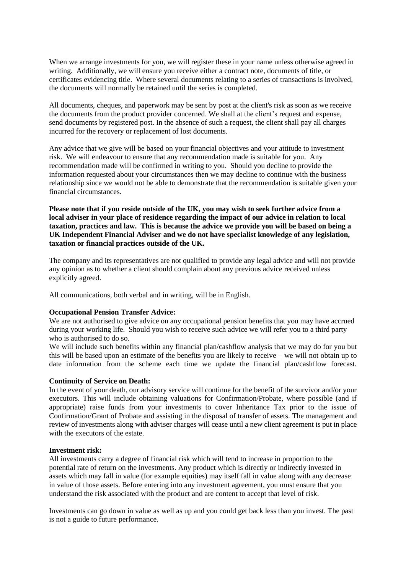When we arrange investments for you, we will register these in your name unless otherwise agreed in writing. Additionally, we will ensure you receive either a contract note, documents of title, or certificates evidencing title. Where several documents relating to a series of transactions is involved, the documents will normally be retained until the series is completed.

All documents, cheques, and paperwork may be sent by post at the client's risk as soon as we receive the documents from the product provider concerned. We shall at the client's request and expense, send documents by registered post. In the absence of such a request, the client shall pay all charges incurred for the recovery or replacement of lost documents.

Any advice that we give will be based on your financial objectives and your attitude to investment risk. We will endeavour to ensure that any recommendation made is suitable for you. Any recommendation made will be confirmed in writing to you. Should you decline to provide the information requested about your circumstances then we may decline to continue with the business relationship since we would not be able to demonstrate that the recommendation is suitable given your financial circumstances.

**Please note that if you reside outside of the UK, you may wish to seek further advice from a local adviser in your place of residence regarding the impact of our advice in relation to local taxation, practices and law. This is because the advice we provide you will be based on being a UK Independent Financial Adviser and we do not have specialist knowledge of any legislation, taxation or financial practices outside of the UK.**

The company and its representatives are not qualified to provide any legal advice and will not provide any opinion as to whether a client should complain about any previous advice received unless explicitly agreed.

All communications, both verbal and in writing, will be in English.

## **Occupational Pension Transfer Advice:**

We are not authorised to give advice on any occupational pension benefits that you may have accrued during your working life. Should you wish to receive such advice we will refer you to a third party who is authorised to do so.

We will include such benefits within any financial plan/cashflow analysis that we may do for you but this will be based upon an estimate of the benefits you are likely to receive – we will not obtain up to date information from the scheme each time we update the financial plan/cashflow forecast.

#### **Continuity of Service on Death:**

In the event of your death, our advisory service will continue for the benefit of the survivor and/or your executors. This will include obtaining valuations for Confirmation/Probate, where possible (and if appropriate) raise funds from your investments to cover Inheritance Tax prior to the issue of Confirmation/Grant of Probate and assisting in the disposal of transfer of assets. The management and review of investments along with adviser charges will cease until a new client agreement is put in place with the executors of the estate.

#### **Investment risk:**

All investments carry a degree of financial risk which will tend to increase in proportion to the potential rate of return on the investments. Any product which is directly or indirectly invested in assets which may fall in value (for example equities) may itself fall in value along with any decrease in value of those assets. Before entering into any investment agreement, you must ensure that you understand the risk associated with the product and are content to accept that level of risk.

Investments can go down in value as well as up and you could get back less than you invest. The past is not a guide to future performance.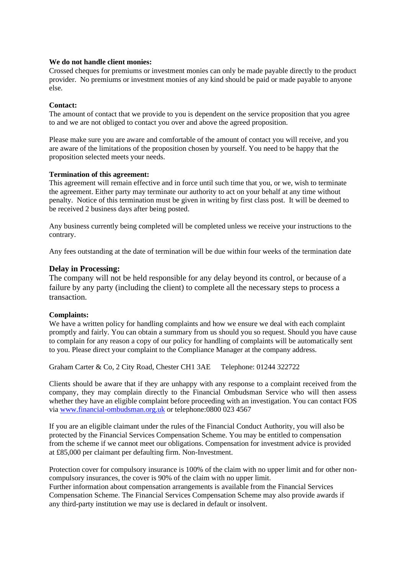## **We do not handle client monies:**

Crossed cheques for premiums or investment monies can only be made payable directly to the product provider. No premiums or investment monies of any kind should be paid or made payable to anyone else.

## **Contact:**

The amount of contact that we provide to you is dependent on the service proposition that you agree to and we are not obliged to contact you over and above the agreed proposition.

Please make sure you are aware and comfortable of the amount of contact you will receive, and you are aware of the limitations of the proposition chosen by yourself. You need to be happy that the proposition selected meets your needs.

## **Termination of this agreement:**

This agreement will remain effective and in force until such time that you, or we, wish to terminate the agreement. Either party may terminate our authority to act on your behalf at any time without penalty. Notice of this termination must be given in writing by first class post. It will be deemed to be received 2 business days after being posted.

Any business currently being completed will be completed unless we receive your instructions to the contrary.

Any fees outstanding at the date of termination will be due within four weeks of the termination date

## **Delay in Processing:**

The company will not be held responsible for any delay beyond its control, or because of a failure by any party (including the client) to complete all the necessary steps to process a transaction.

## **Complaints:**

We have a written policy for handling complaints and how we ensure we deal with each complaint promptly and fairly. You can obtain a summary from us should you so request. Should you have cause to complain for any reason a copy of our policy for handling of complaints will be automatically sent to you. Please direct your complaint to the Compliance Manager at the company address.

Graham Carter & Co, 2 City Road, Chester CH1 3AE Telephone: 01244 322722

Clients should be aware that if they are unhappy with any response to a complaint received from the company, they may complain directly to the Financial Ombudsman Service who will then assess whether they have an eligible complaint before proceeding with an investigation. You can contact FOS via [www.financial-ombudsman.org.uk](http://www.financial-ombudsman.org.uk/) or telephone:0800 023 4567

If you are an eligible claimant under the rules of the Financial Conduct Authority, you will also be protected by the Financial Services Compensation Scheme. You may be entitled to compensation from the scheme if we cannot meet our obligations. Compensation for investment advice is provided at £85,000 per claimant per defaulting firm. Non-Investment.

Protection cover for compulsory insurance is 100% of the claim with no upper limit and for other noncompulsory insurances, the cover is 90% of the claim with no upper limit.

Further information about compensation arrangements is available from the Financial Services Compensation Scheme. The Financial Services Compensation Scheme may also provide awards if any third-party institution we may use is declared in default or insolvent.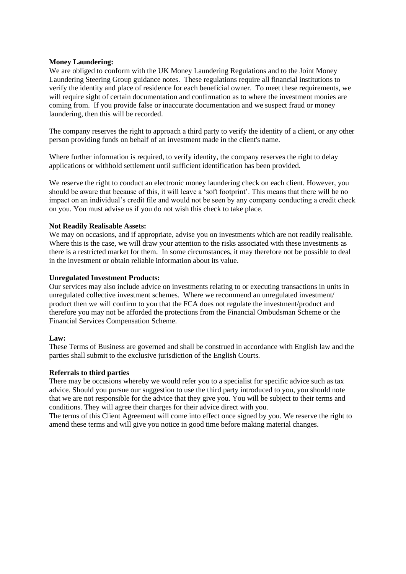## **Money Laundering:**

We are obliged to conform with the UK Money Laundering Regulations and to the Joint Money Laundering Steering Group guidance notes. These regulations require all financial institutions to verify the identity and place of residence for each beneficial owner. To meet these requirements, we will require sight of certain documentation and confirmation as to where the investment monies are coming from. If you provide false or inaccurate documentation and we suspect fraud or money laundering, then this will be recorded.

The company reserves the right to approach a third party to verify the identity of a client, or any other person providing funds on behalf of an investment made in the client's name.

Where further information is required, to verify identity, the company reserves the right to delay applications or withhold settlement until sufficient identification has been provided.

We reserve the right to conduct an electronic money laundering check on each client. However, you should be aware that because of this, it will leave a 'soft footprint'. This means that there will be no impact on an individual's credit file and would not be seen by any company conducting a credit check on you. You must advise us if you do not wish this check to take place.

## **Not Readily Realisable Assets:**

We may on occasions, and if appropriate, advise you on investments which are not readily realisable. Where this is the case, we will draw your attention to the risks associated with these investments as there is a restricted market for them. In some circumstances, it may therefore not be possible to deal in the investment or obtain reliable information about its value.

## **Unregulated Investment Products:**

Our services may also include advice on investments relating to or executing transactions in units in unregulated collective investment schemes. Where we recommend an unregulated investment/ product then we will confirm to you that the FCA does not regulate the investment/product and therefore you may not be afforded the protections from the Financial Ombudsman Scheme or the Financial Services Compensation Scheme.

#### **Law:**

These Terms of Business are governed and shall be construed in accordance with English law and the parties shall submit to the exclusive jurisdiction of the English Courts.

## **Referrals to third parties**

There may be occasions whereby we would refer you to a specialist for specific advice such as tax advice. Should you pursue our suggestion to use the third party introduced to you, you should note that we are not responsible for the advice that they give you. You will be subject to their terms and conditions. They will agree their charges for their advice direct with you.

The terms of this Client Agreement will come into effect once signed by you. We reserve the right to amend these terms and will give you notice in good time before making material changes.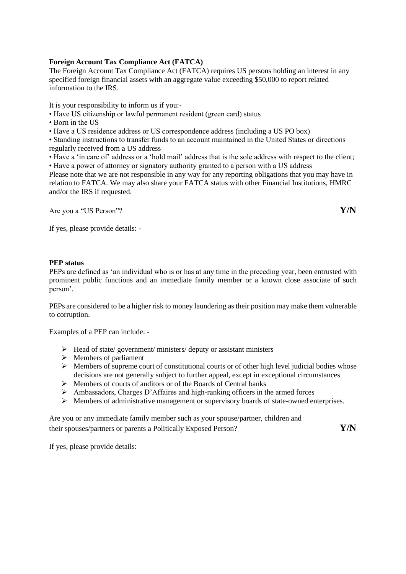## **Foreign Account Tax Compliance Act (FATCA)**

The Foreign Account Tax Compliance Act (FATCA) requires US persons holding an interest in any specified foreign financial assets with an aggregate value exceeding \$50,000 to report related information to the IRS.

It is your responsibility to inform us if you:-

- Have US citizenship or lawful permanent resident (green card) status
- Born in the US

• Have a US residence address or US correspondence address (including a US PO box)

• Standing instructions to transfer funds to an account maintained in the United States or directions regularly received from a US address

• Have a 'in care of' address or a 'hold mail' address that is the sole address with respect to the client; • Have a power of attorney or signatory authority granted to a person with a US address

Please note that we are not responsible in any way for any reporting obligations that you may have in relation to FATCA. We may also share your FATCA status with other Financial Institutions, HMRC and/or the IRS if requested.

Are you a "US Person"? **Y/N**

If yes, please provide details: -

## **PEP status**

PEPs are defined as 'an individual who is or has at any time in the preceding year, been entrusted with prominent public functions and an immediate family member or a known close associate of such person'.

PEPs are considered to be a higher risk to money laundering as their position may make them vulnerable to corruption.

Examples of a PEP can include: -

- ➢ Head of state/ government/ ministers/ deputy or assistant ministers
- $\triangleright$  Members of parliament
- ➢ Members of supreme court of constitutional courts or of other high level judicial bodies whose decisions are not generally subject to further appeal, except in exceptional circumstances
- ➢ Members of courts of auditors or of the Boards of Central banks
- $\triangleright$  Ambassadors, Charges D'Affaires and high-ranking officers in the armed forces
- $\triangleright$  Members of administrative management or supervisory boards of state-owned enterprises.

Are you or any immediate family member such as your spouse/partner, children and their spouses/partners or parents a Politically Exposed Person? **Y/N**

If yes, please provide details: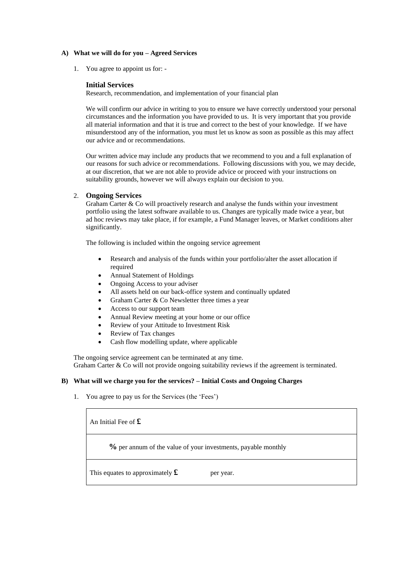#### **A) What we will do for you – Agreed Services**

1. You agree to appoint us for: -

#### **Initial Services**

Research, recommendation, and implementation of your financial plan

We will confirm our advice in writing to you to ensure we have correctly understood your personal circumstances and the information you have provided to us. It is very important that you provide all material information and that it is true and correct to the best of your knowledge. If we have misunderstood any of the information, you must let us know as soon as possible as this may affect our advice and or recommendations.

Our written advice may include any products that we recommend to you and a full explanation of our reasons for such advice or recommendations. Following discussions with you, we may decide, at our discretion, that we are not able to provide advice or proceed with your instructions on suitability grounds, however we will always explain our decision to you.

## 2. **Ongoing Services**

Graham Carter & Co will proactively research and analyse the funds within your investment portfolio using the latest software available to us. Changes are typically made twice a year, but ad hoc reviews may take place, if for example, a Fund Manager leaves, or Market conditions alter significantly.

The following is included within the ongoing service agreement

- Research and analysis of the funds within your portfolio/alter the asset allocation if required
- Annual Statement of Holdings
- Ongoing Access to your adviser
- All assets held on our back-office system and continually updated
- Graham Carter & Co Newsletter three times a year
- Access to our support team
- Annual Review meeting at your home or our office
- Review of your Attitude to Investment Risk
- Review of Tax changes
- Cash flow modelling update, where applicable

The ongoing service agreement can be terminated at any time. Graham Carter & Co will not provide ongoing suitability reviews if the agreement is terminated.

#### **B) What will we charge you for the services? – Initial Costs and Ongoing Charges**

1. You agree to pay us for the Services (the 'Fees')

An Initial Fee of **£**

**%** per annum of the value of your investments, payable monthly

This equates to approximately  $\mathbf{\pounds}$  per year.